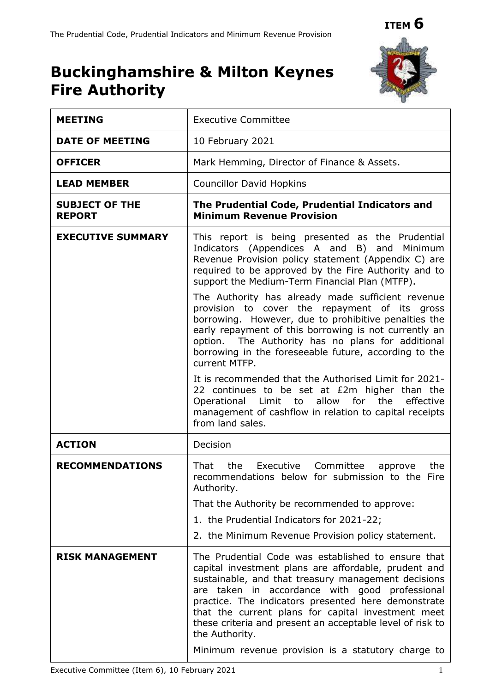# **Buckinghamshire & Milton Keynes Fire Authority**



| <b>MEETING</b>                         | <b>Executive Committee</b>                                                                                                                                                                                                                                                                                                                                                                                      |
|----------------------------------------|-----------------------------------------------------------------------------------------------------------------------------------------------------------------------------------------------------------------------------------------------------------------------------------------------------------------------------------------------------------------------------------------------------------------|
| <b>DATE OF MEETING</b>                 | 10 February 2021                                                                                                                                                                                                                                                                                                                                                                                                |
| <b>OFFICER</b>                         | Mark Hemming, Director of Finance & Assets.                                                                                                                                                                                                                                                                                                                                                                     |
| <b>LEAD MEMBER</b>                     | <b>Councillor David Hopkins</b>                                                                                                                                                                                                                                                                                                                                                                                 |
| <b>SUBJECT OF THE</b><br><b>REPORT</b> | The Prudential Code, Prudential Indicators and<br><b>Minimum Revenue Provision</b>                                                                                                                                                                                                                                                                                                                              |
| <b>EXECUTIVE SUMMARY</b>               | This report is being presented as the Prudential<br>Indicators (Appendices A and B) and Minimum<br>Revenue Provision policy statement (Appendix C) are<br>required to be approved by the Fire Authority and to<br>support the Medium-Term Financial Plan (MTFP).<br>The Authority has already made sufficient revenue                                                                                           |
|                                        | provision to cover the repayment of its gross<br>borrowing. However, due to prohibitive penalties the<br>early repayment of this borrowing is not currently an<br>option. The Authority has no plans for additional<br>borrowing in the foreseeable future, according to the<br>current MTFP.                                                                                                                   |
|                                        | It is recommended that the Authorised Limit for 2021-<br>22 continues to be set at £2m higher than the<br>Operational Limit to<br>allow<br>for the<br>effective<br>management of cashflow in relation to capital receipts<br>from land sales.                                                                                                                                                                   |
| <b>ACTION</b>                          | Decision                                                                                                                                                                                                                                                                                                                                                                                                        |
| <b>RECOMMENDATIONS</b>                 | That<br>the Executive<br>Committee<br>the<br>approve<br>recommendations below for submission to the Fire<br>Authority.                                                                                                                                                                                                                                                                                          |
|                                        | That the Authority be recommended to approve:                                                                                                                                                                                                                                                                                                                                                                   |
|                                        | 1. the Prudential Indicators for 2021-22;                                                                                                                                                                                                                                                                                                                                                                       |
|                                        | 2. the Minimum Revenue Provision policy statement.                                                                                                                                                                                                                                                                                                                                                              |
| <b>RISK MANAGEMENT</b>                 | The Prudential Code was established to ensure that<br>capital investment plans are affordable, prudent and<br>sustainable, and that treasury management decisions<br>are taken in accordance with good professional<br>practice. The indicators presented here demonstrate<br>that the current plans for capital investment meet<br>these criteria and present an acceptable level of risk to<br>the Authority. |
|                                        | Minimum revenue provision is a statutory charge to                                                                                                                                                                                                                                                                                                                                                              |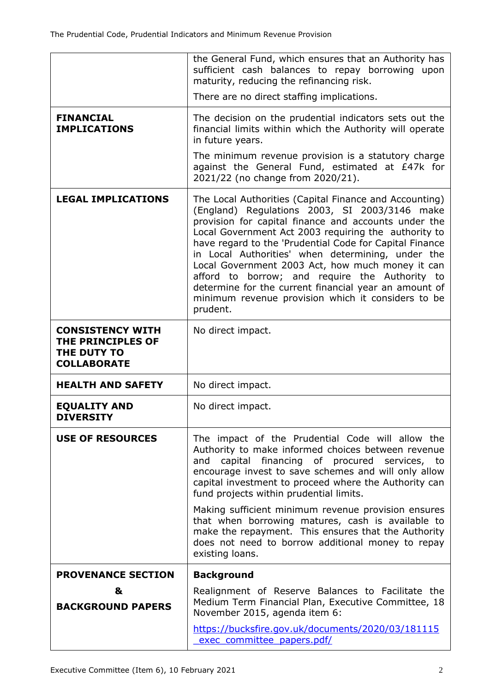|                                                                                   | the General Fund, which ensures that an Authority has<br>sufficient cash balances to repay borrowing upon<br>maturity, reducing the refinancing risk.                                                                                                                                                                                                                                                                                                                                                                                                                    |
|-----------------------------------------------------------------------------------|--------------------------------------------------------------------------------------------------------------------------------------------------------------------------------------------------------------------------------------------------------------------------------------------------------------------------------------------------------------------------------------------------------------------------------------------------------------------------------------------------------------------------------------------------------------------------|
|                                                                                   | There are no direct staffing implications.                                                                                                                                                                                                                                                                                                                                                                                                                                                                                                                               |
| <b>FINANCIAL</b><br><b>IMPLICATIONS</b>                                           | The decision on the prudential indicators sets out the<br>financial limits within which the Authority will operate<br>in future years.                                                                                                                                                                                                                                                                                                                                                                                                                                   |
|                                                                                   | The minimum revenue provision is a statutory charge<br>against the General Fund, estimated at £47k for<br>2021/22 (no change from 2020/21).                                                                                                                                                                                                                                                                                                                                                                                                                              |
| <b>LEGAL IMPLICATIONS</b>                                                         | The Local Authorities (Capital Finance and Accounting)<br>(England) Regulations 2003, SI 2003/3146 make<br>provision for capital finance and accounts under the<br>Local Government Act 2003 requiring the authority to<br>have regard to the 'Prudential Code for Capital Finance<br>in Local Authorities' when determining, under the<br>Local Government 2003 Act, how much money it can<br>afford to borrow; and require the Authority to<br>determine for the current financial year an amount of<br>minimum revenue provision which it considers to be<br>prudent. |
| <b>CONSISTENCY WITH</b><br>THE PRINCIPLES OF<br>THE DUTY TO<br><b>COLLABORATE</b> | No direct impact.                                                                                                                                                                                                                                                                                                                                                                                                                                                                                                                                                        |
| <b>HEALTH AND SAFETY</b>                                                          | No direct impact.                                                                                                                                                                                                                                                                                                                                                                                                                                                                                                                                                        |
| <b>EQUALITY AND</b><br><b>DIVERSITY</b>                                           | No direct impact.                                                                                                                                                                                                                                                                                                                                                                                                                                                                                                                                                        |
| <b>USE OF RESOURCES</b>                                                           | The impact of the Prudential Code will allow the<br>Authority to make informed choices between revenue<br>capital financing of procured services, to<br>and<br>encourage invest to save schemes and will only allow<br>capital investment to proceed where the Authority can<br>fund projects within prudential limits.<br>Making sufficient minimum revenue provision ensures                                                                                                                                                                                           |
|                                                                                   | that when borrowing matures, cash is available to<br>make the repayment. This ensures that the Authority<br>does not need to borrow additional money to repay<br>existing loans.                                                                                                                                                                                                                                                                                                                                                                                         |
| <b>PROVENANCE SECTION</b>                                                         | <b>Background</b>                                                                                                                                                                                                                                                                                                                                                                                                                                                                                                                                                        |
| &<br><b>BACKGROUND PAPERS</b>                                                     | Realignment of Reserve Balances to Facilitate the<br>Medium Term Financial Plan, Executive Committee, 18<br>November 2015, agenda item 6:                                                                                                                                                                                                                                                                                                                                                                                                                                |
|                                                                                   | https://bucksfire.gov.uk/documents/2020/03/181115<br>exec committee papers.pdf/                                                                                                                                                                                                                                                                                                                                                                                                                                                                                          |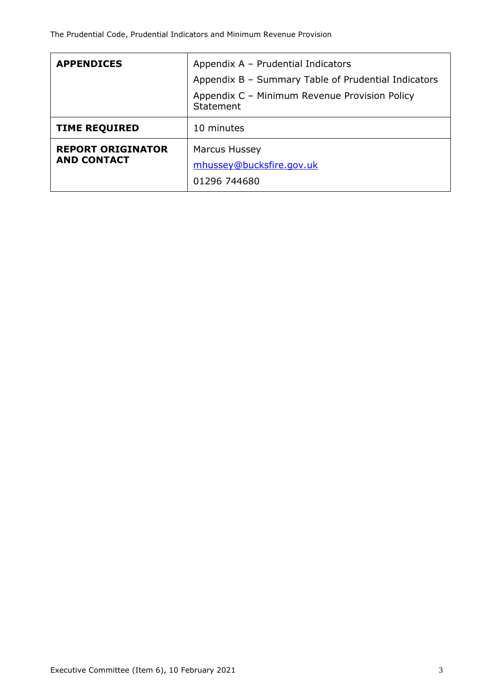| <b>APPENDICES</b>                              | Appendix A - Prudential Indicators                         |  |  |  |  |
|------------------------------------------------|------------------------------------------------------------|--|--|--|--|
|                                                | Appendix B - Summary Table of Prudential Indicators        |  |  |  |  |
|                                                | Appendix C - Minimum Revenue Provision Policy<br>Statement |  |  |  |  |
| <b>TIME REQUIRED</b>                           | 10 minutes                                                 |  |  |  |  |
| <b>REPORT ORIGINATOR</b><br><b>AND CONTACT</b> | <b>Marcus Hussey</b><br>mhussey@bucksfire.gov.uk           |  |  |  |  |
|                                                | 01296 744680                                               |  |  |  |  |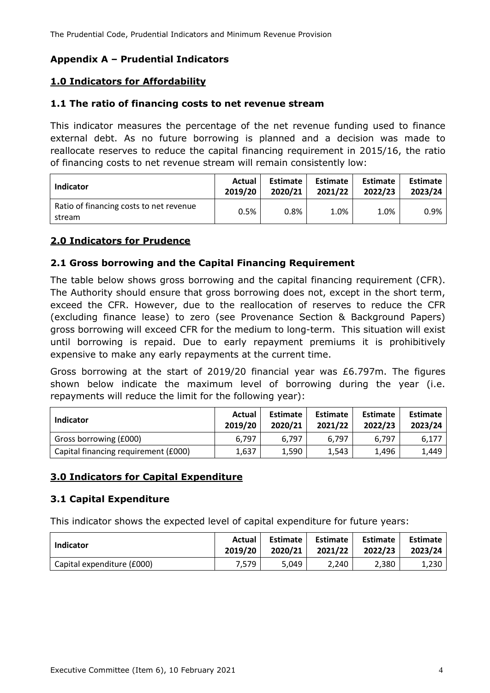## **Appendix A – Prudential Indicators**

## **1.0 Indicators for Affordability**

#### **1.1 The ratio of financing costs to net revenue stream**

This indicator measures the percentage of the net revenue funding used to finance external debt. As no future borrowing is planned and a decision was made to reallocate reserves to reduce the capital financing requirement in 2015/16, the ratio of financing costs to net revenue stream will remain consistently low:

| Indicator                                         | Actual  | Estimate | Estimate | <b>Estimate</b> | <b>Estimate</b> |
|---------------------------------------------------|---------|----------|----------|-----------------|-----------------|
|                                                   | 2019/20 | 2020/21  | 2021/22  | 2022/23         | 2023/24         |
| Ratio of financing costs to net revenue<br>stream | 0.5%    | $0.8\%$  | 1.0%     | 1.0%            | 0.9%            |

### **2.0 Indicators for Prudence**

### **2.1 Gross borrowing and the Capital Financing Requirement**

The table below shows gross borrowing and the capital financing requirement (CFR). The Authority should ensure that gross borrowing does not, except in the short term, exceed the CFR. However, due to the reallocation of reserves to reduce the CFR (excluding finance lease) to zero (see Provenance Section & Background Papers) gross borrowing will exceed CFR for the medium to long-term. This situation will exist until borrowing is repaid. Due to early repayment premiums it is prohibitively expensive to make any early repayments at the current time.

Gross borrowing at the start of 2019/20 financial year was £6.797m. The figures shown below indicate the maximum level of borrowing during the year (i.e. repayments will reduce the limit for the following year):

| Indicator                            | Actual<br>2019/20 | <b>Estimate</b><br>2020/21 | <b>Estimate</b><br>2021/22 | <b>Estimate</b><br>2022/23 | <b>Estimate</b><br>2023/24 |  |
|--------------------------------------|-------------------|----------------------------|----------------------------|----------------------------|----------------------------|--|
| Gross borrowing (£000)               | 6.797             | 6.797                      | 6.797                      | 6.797                      | 6,177                      |  |
| Capital financing requirement (£000) | 1.637             | 1.590                      | 1.543                      | 1.496                      | 1,449                      |  |

### **3.0 Indicators for Capital Expenditure**

### **3.1 Capital Expenditure**

This indicator shows the expected level of capital expenditure for future years:

| Indicator                  | Actual  | Estimate | <b>Estimate</b> | Estimate | <b>Estimate</b> |
|----------------------------|---------|----------|-----------------|----------|-----------------|
|                            | 2019/20 | 2020/21  | 2021/22         | 2022/23  | 2023/24         |
| Capital expenditure (£000) | 7.579   | 5.049    | 2.240           | 2.380    | 1.230           |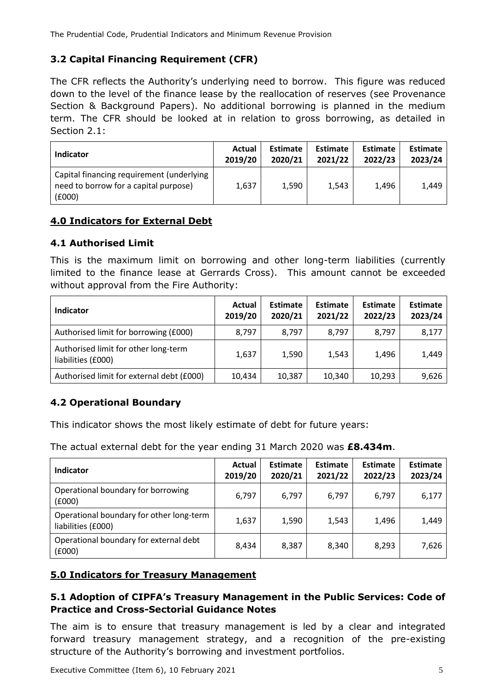## **3.2 Capital Financing Requirement (CFR)**

The CFR reflects the Authority's underlying need to borrow. This figure was reduced down to the level of the finance lease by the reallocation of reserves (see Provenance Section & Background Papers). No additional borrowing is planned in the medium term. The CFR should be looked at in relation to gross borrowing, as detailed in Section 2.1:

| <b>Indicator</b>                                                                             | Actual  | <b>Estimate</b> | <b>Estimate</b> | <b>Estimate</b> | <b>Estimate</b> |
|----------------------------------------------------------------------------------------------|---------|-----------------|-----------------|-----------------|-----------------|
|                                                                                              | 2019/20 | 2020/21         | 2021/22         | 2022/23         | 2023/24         |
| Capital financing requirement (underlying<br>need to borrow for a capital purpose)<br>(£000) | 1.637   | 1,590           | 1,543           | 1.496           | 1,449           |

## **4.0 Indicators for External Debt**

## **4.1 Authorised Limit**

This is the maximum limit on borrowing and other long-term liabilities (currently limited to the finance lease at Gerrards Cross). This amount cannot be exceeded without approval from the Fire Authority:

| <b>Indicator</b>                                           | <b>Actual</b><br>2019/20 | <b>Estimate</b><br>2020/21 | Estimate<br>2021/22 | Estimate<br>2022/23 | <b>Estimate</b><br>2023/24 |
|------------------------------------------------------------|--------------------------|----------------------------|---------------------|---------------------|----------------------------|
| Authorised limit for borrowing (£000)                      | 8,797                    | 8,797                      | 8,797               | 8.797               | 8,177                      |
| Authorised limit for other long-term<br>liabilities (£000) | 1,637                    | 1,590                      | 1,543               | 1,496               | 1,449                      |
| Authorised limit for external debt (£000)                  | 10,434                   | 10,387                     | 10,340              | 10,293              | 9,626                      |

## **4.2 Operational Boundary**

This indicator shows the most likely estimate of debt for future years:

The actual external debt for the year ending 31 March 2020 was **£8.434m**.

| Indicator                                                      | Actual<br>2019/20 | <b>Estimate</b><br>2020/21 | Estimate<br>2021/22 | <b>Estimate</b><br>2022/23 | <b>Estimate</b><br>2023/24 |
|----------------------------------------------------------------|-------------------|----------------------------|---------------------|----------------------------|----------------------------|
| Operational boundary for borrowing<br>(6000)                   | 6,797             | 6,797                      | 6,797               | 6,797                      | 6,177                      |
| Operational boundary for other long-term<br>liabilities (£000) | 1,637             | 1,590                      | 1,543               | 1,496                      | 1,449                      |
| Operational boundary for external debt<br>(£000)               | 8,434             | 8,387                      | 8,340               | 8,293                      | 7,626                      |

### **5.0 Indicators for Treasury Management**

## **5.1 Adoption of CIPFA's Treasury Management in the Public Services: Code of Practice and Cross-Sectorial Guidance Notes**

The aim is to ensure that treasury management is led by a clear and integrated forward treasury management strategy, and a recognition of the pre-existing structure of the Authority's borrowing and investment portfolios.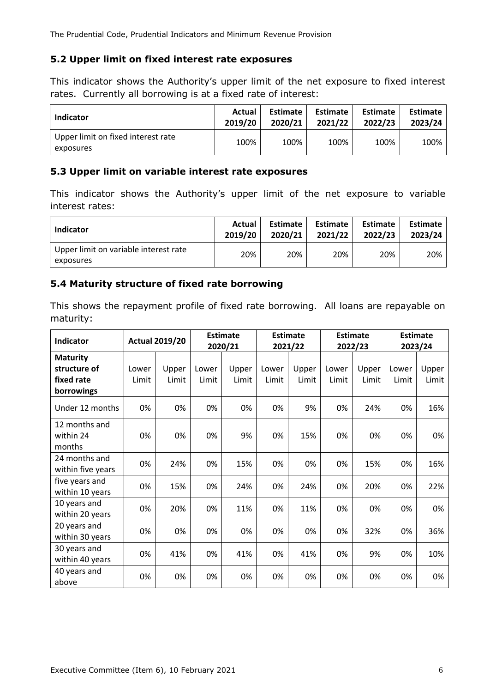The Prudential Code, Prudential Indicators and Minimum Revenue Provision

## **5.2 Upper limit on fixed interest rate exposures**

This indicator shows the Authority's upper limit of the net exposure to fixed interest rates. Currently all borrowing is at a fixed rate of interest:

| <b>Indicator</b>                                | Actual  | <b>Estimate</b> | <b>Estimate</b> | <b>Estimate</b> | <b>Estimate</b> |  |
|-------------------------------------------------|---------|-----------------|-----------------|-----------------|-----------------|--|
|                                                 | 2019/20 | 2020/21         | 2021/22         | 2022/23         | 2023/24         |  |
| Upper limit on fixed interest rate<br>exposures | 100%    | 100%            | 100%            | 100%            | 100%            |  |

## **5.3 Upper limit on variable interest rate exposures**

This indicator shows the Authority's upper limit of the net exposure to variable interest rates:

| Indicator                                          | Actual  | Estimate | Estimate | <b>Estimate</b> | <b>Estimate</b> |
|----------------------------------------------------|---------|----------|----------|-----------------|-----------------|
|                                                    | 2019/20 | 2020/21  | 2021/22  | 2022/23         | 2023/24         |
| Upper limit on variable interest rate<br>exposures | 20%     | 20%      | 20%      | 20%             | 20%             |

## **5.4 Maturity structure of fixed rate borrowing**

This shows the repayment profile of fixed rate borrowing. All loans are repayable on maturity:

| <b>Indicator</b>                                            |                | <b>Actual 2019/20</b> |                | <b>Estimate</b><br>2020/21 |                | <b>Estimate</b><br>2021/22 | <b>Estimate</b><br>2022/23 |                | <b>Estimate</b><br>2023/24 |                |
|-------------------------------------------------------------|----------------|-----------------------|----------------|----------------------------|----------------|----------------------------|----------------------------|----------------|----------------------------|----------------|
| <b>Maturity</b><br>structure of<br>fixed rate<br>borrowings | Lower<br>Limit | Upper<br>Limit        | Lower<br>Limit | Upper<br>Limit             | Lower<br>Limit | Upper<br>Limit             | Lower<br>Limit             | Upper<br>Limit | Lower<br>Limit             | Upper<br>Limit |
| Under 12 months                                             | 0%             | 0%                    | 0%             | 0%                         | 0%             | 9%                         | 0%                         | 24%            | 0%                         | 16%            |
| 12 months and<br>within 24<br>months                        | 0%             | 0%                    | 0%             | 9%                         | 0%             | 15%                        | 0%                         | 0%             | 0%                         | 0%             |
| 24 months and<br>within five years                          | 0%             | 24%                   | 0%             | 15%                        | 0%             | 0%                         | 0%                         | 15%            | 0%                         | 16%            |
| five years and<br>within 10 years                           | 0%             | 15%                   | 0%             | 24%                        | 0%             | 24%                        | 0%                         | 20%            | 0%                         | 22%            |
| 10 years and<br>within 20 years                             | 0%             | 20%                   | 0%             | 11%                        | 0%             | 11%                        | 0%                         | 0%             | 0%                         | 0%             |
| 20 years and<br>within 30 years                             | 0%             | 0%                    | 0%             | 0%                         | 0%             | 0%                         | 0%                         | 32%            | 0%                         | 36%            |
| 30 years and<br>within 40 years                             | 0%             | 41%                   | 0%             | 41%                        | 0%             | 41%                        | 0%                         | 9%             | 0%                         | 10%            |
| 40 years and<br>above                                       | 0%             | 0%                    | 0%             | 0%                         | 0%             | 0%                         | 0%                         | 0%             | 0%                         | 0%             |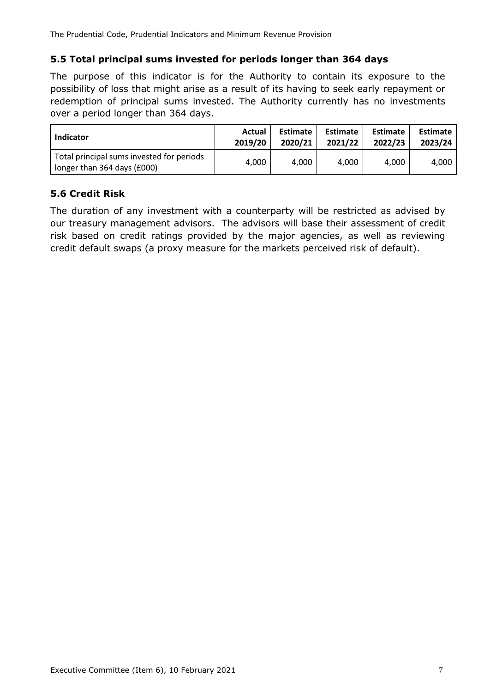The Prudential Code, Prudential Indicators and Minimum Revenue Provision

## **5.5 Total principal sums invested for periods longer than 364 days**

The purpose of this indicator is for the Authority to contain its exposure to the possibility of loss that might arise as a result of its having to seek early repayment or redemption of principal sums invested. The Authority currently has no investments over a period longer than 364 days.

| <b>Indicator</b>                                                         | Actual  | <b>Estimate</b> | Estimate | <b>Estimate</b> | Estimate |
|--------------------------------------------------------------------------|---------|-----------------|----------|-----------------|----------|
|                                                                          | 2019/20 | 2020/21         | 2021/22  | 2022/23         | 2023/24  |
| Total principal sums invested for periods<br>longer than 364 days (£000) | 4,000   | 4,000           | 4.000    | 4.000           | 4.000    |

## **5.6 Credit Risk**

The duration of any investment with a counterparty will be restricted as advised by our treasury management advisors. The advisors will base their assessment of credit risk based on credit ratings provided by the major agencies, as well as reviewing credit default swaps (a proxy measure for the markets perceived risk of default).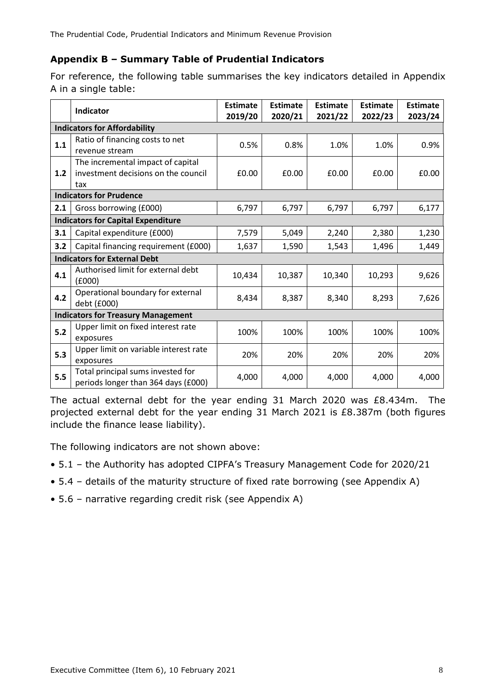## **Appendix B – Summary Table of Prudential Indicators**

For reference, the following table summarises the key indicators detailed in Appendix A in a single table:

|                                           | Indicator                                                                       | <b>Estimate</b><br>2019/20 | <b>Estimate</b><br>2020/21 | <b>Estimate</b><br>2021/22 | <b>Estimate</b><br>2022/23 | <b>Estimate</b><br>2023/24 |  |  |  |
|-------------------------------------------|---------------------------------------------------------------------------------|----------------------------|----------------------------|----------------------------|----------------------------|----------------------------|--|--|--|
| <b>Indicators for Affordability</b>       |                                                                                 |                            |                            |                            |                            |                            |  |  |  |
| 1.1                                       | Ratio of financing costs to net<br>revenue stream                               | 0.5%                       | 0.8%                       | 1.0%                       | 1.0%                       | 0.9%                       |  |  |  |
| 1.2                                       | The incremental impact of capital<br>investment decisions on the council<br>tax | £0.00                      | £0.00                      | £0.00                      | £0.00                      | £0.00                      |  |  |  |
| <b>Indicators for Prudence</b>            |                                                                                 |                            |                            |                            |                            |                            |  |  |  |
| 2.1                                       | Gross borrowing (£000)                                                          | 6,797                      | 6,797                      | 6,797                      | 6,797                      | 6,177                      |  |  |  |
| <b>Indicators for Capital Expenditure</b> |                                                                                 |                            |                            |                            |                            |                            |  |  |  |
| 3.1                                       | Capital expenditure (£000)                                                      | 7,579                      | 5,049                      | 2,240                      | 2,380                      | 1,230                      |  |  |  |
| 3.2                                       | Capital financing requirement (£000)                                            | 1,637                      | 1,590                      | 1,543                      | 1,496                      | 1,449                      |  |  |  |
| <b>Indicators for External Debt</b>       |                                                                                 |                            |                            |                            |                            |                            |  |  |  |
| 4.1                                       | Authorised limit for external debt<br>(£000)                                    | 10,434                     | 10,387                     | 10,340                     | 10,293                     | 9,626                      |  |  |  |
| 4.2                                       | Operational boundary for external<br>debt (£000)                                | 8,434                      | 8,387                      | 8,340                      | 8,293                      | 7,626                      |  |  |  |
| <b>Indicators for Treasury Management</b> |                                                                                 |                            |                            |                            |                            |                            |  |  |  |
| 5.2                                       | Upper limit on fixed interest rate<br>exposures                                 | 100%                       | 100%                       | 100%                       | 100%                       | 100%                       |  |  |  |
| 5.3                                       | Upper limit on variable interest rate<br>exposures                              | 20%                        | 20%                        | 20%                        | 20%                        | 20%                        |  |  |  |
| 5.5                                       | Total principal sums invested for<br>periods longer than 364 days (£000)        | 4,000                      | 4,000                      | 4,000                      | 4,000                      | 4,000                      |  |  |  |

The actual external debt for the year ending 31 March 2020 was £8.434m. The projected external debt for the year ending 31 March 2021 is £8.387m (both figures include the finance lease liability).

The following indicators are not shown above:

- 5.1 the Authority has adopted CIPFA's Treasury Management Code for 2020/21
- 5.4 details of the maturity structure of fixed rate borrowing (see Appendix A)
- 5.6 narrative regarding credit risk (see Appendix A)